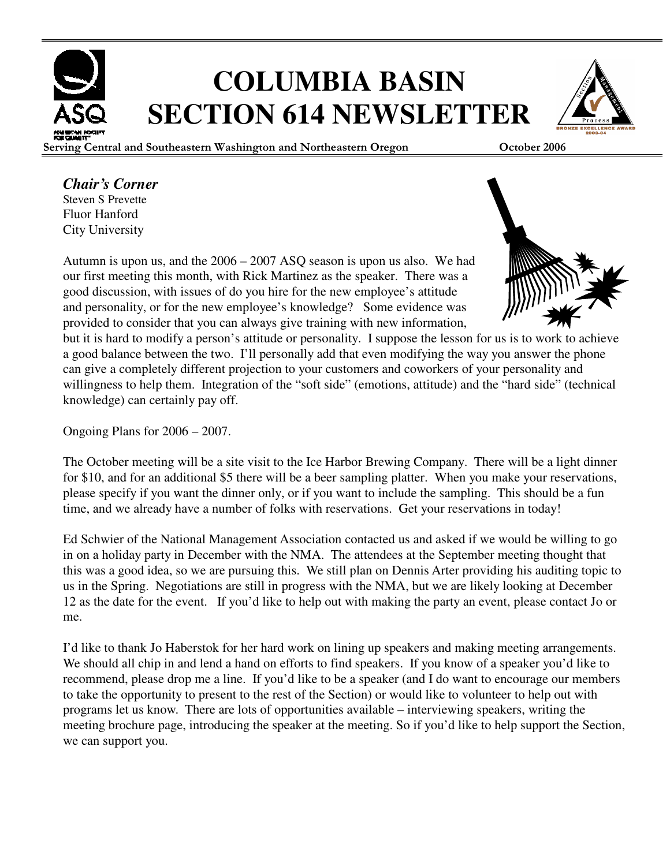

# **COLUMBIA BASIN SECTION 614 NEWSLETTER**

Serving Central and Southeastern Washington and Northeastern Oregon October 2006

#### *Chair's Corner*

Steven S Prevette Fluor Hanford City University

Autumn is upon us, and the 2006 – 2007 ASQ season is upon us also. We had our first meeting this month, with Rick Martinez as the speaker. There was a good discussion, with issues of do you hire for the new employee's attitude and personality, or for the new employee's knowledge? Some evidence was provided to consider that you can always give training with new information,



but it is hard to modify a person's attitude or personality. I suppose the lesson for us is to work to achieve a good balance between the two. I'll personally add that even modifying the way you answer the phone can give a completely different projection to your customers and coworkers of your personality and willingness to help them. Integration of the "soft side" (emotions, attitude) and the "hard side" (technical knowledge) can certainly pay off.

Ongoing Plans for 2006 – 2007.

The October meeting will be a site visit to the Ice Harbor Brewing Company. There will be a light dinner for \$10, and for an additional \$5 there will be a beer sampling platter. When you make your reservations, please specify if you want the dinner only, or if you want to include the sampling. This should be a fun time, and we already have a number of folks with reservations. Get your reservations in today!

Ed Schwier of the National Management Association contacted us and asked if we would be willing to go in on a holiday party in December with the NMA. The attendees at the September meeting thought that this was a good idea, so we are pursuing this. We still plan on Dennis Arter providing his auditing topic to us in the Spring. Negotiations are still in progress with the NMA, but we are likely looking at December 12 as the date for the event. If you'd like to help out with making the party an event, please contact Jo or me.

I'd like to thank Jo Haberstok for her hard work on lining up speakers and making meeting arrangements. We should all chip in and lend a hand on efforts to find speakers. If you know of a speaker you'd like to recommend, please drop me a line. If you'd like to be a speaker (and I do want to encourage our members to take the opportunity to present to the rest of the Section) or would like to volunteer to help out with programs let us know. There are lots of opportunities available – interviewing speakers, writing the meeting brochure page, introducing the speaker at the meeting. So if you'd like to help support the Section, we can support you.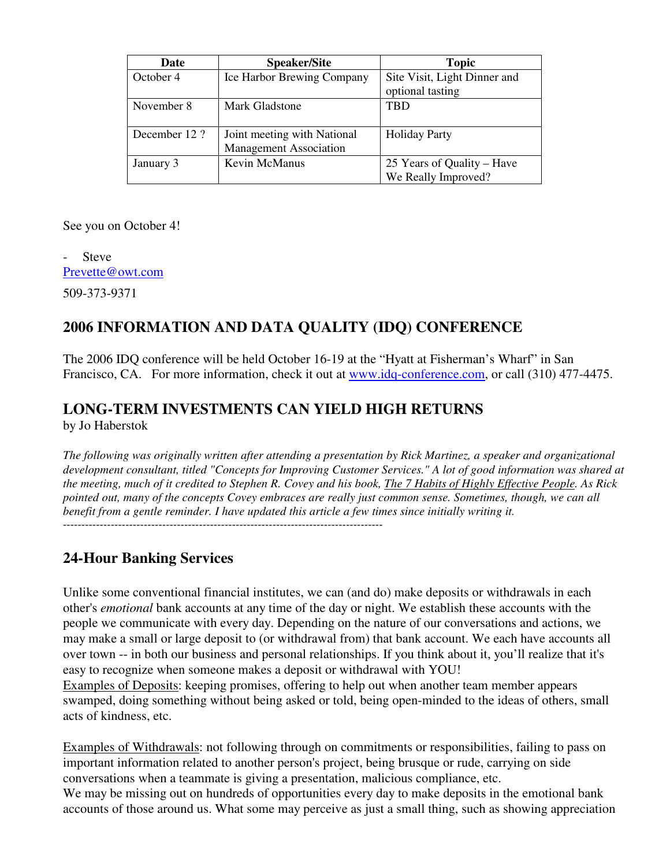| <b>Date</b>  | <b>Speaker/Site</b>           | <b>Topic</b>                 |  |
|--------------|-------------------------------|------------------------------|--|
| October 4    | Ice Harbor Brewing Company    | Site Visit, Light Dinner and |  |
|              |                               | optional tasting             |  |
| November 8   | Mark Gladstone                | <b>TRD</b>                   |  |
|              |                               |                              |  |
| December 12? | Joint meeting with National   | <b>Holiday Party</b>         |  |
|              | <b>Management Association</b> |                              |  |
| January 3    | Kevin McManus                 | 25 Years of Quality – Have   |  |
|              |                               | We Really Improved?          |  |

See you on October 4!

**Steve** Prevette@owt.com 509-373-9371

#### **2006 INFORMATION AND DATA QUALITY (IDQ) CONFERENCE**

The 2006 IDQ conference will be held October 16-19 at the "Hyatt at Fisherman's Wharf" in San Francisco, CA. For more information, check it out at www.idq-conference.com, or call (310) 477-4475.

#### **LONG-TERM INVESTMENTS CAN YIELD HIGH RETURNS**

by Jo Haberstok

*The following was originally written after attending a presentation by Rick Martinez, a speaker and organizational development consultant, titled "Concepts for Improving Customer Services." A lot of good information was shared at the meeting, much of it credited to Stephen R. Covey and his book, The 7 Habits of Highly Effective People. As Rick pointed out, many of the concepts Covey embraces are really just common sense. Sometimes, though, we can all benefit from a gentle reminder. I have updated this article a few times since initially writing it.*  ---------------------------------------------------------------------------------------

#### **24-Hour Banking Services**

Unlike some conventional financial institutes, we can (and do) make deposits or withdrawals in each other's *emotional* bank accounts at any time of the day or night. We establish these accounts with the people we communicate with every day. Depending on the nature of our conversations and actions, we may make a small or large deposit to (or withdrawal from) that bank account. We each have accounts all over town -- in both our business and personal relationships. If you think about it, you'll realize that it's easy to recognize when someone makes a deposit or withdrawal with YOU!

Examples of Deposits: keeping promises, offering to help out when another team member appears swamped, doing something without being asked or told, being open-minded to the ideas of others, small acts of kindness, etc.

Examples of Withdrawals: not following through on commitments or responsibilities, failing to pass on important information related to another person's project, being brusque or rude, carrying on side conversations when a teammate is giving a presentation, malicious compliance, etc. We may be missing out on hundreds of opportunities every day to make deposits in the emotional bank accounts of those around us. What some may perceive as just a small thing, such as showing appreciation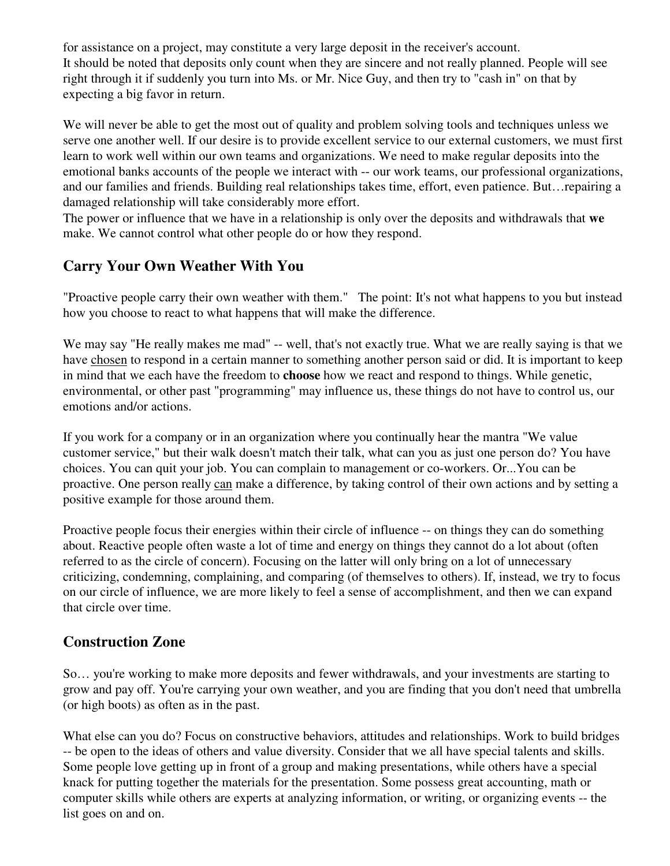for assistance on a project, may constitute a very large deposit in the receiver's account. It should be noted that deposits only count when they are sincere and not really planned. People will see right through it if suddenly you turn into Ms. or Mr. Nice Guy, and then try to "cash in" on that by expecting a big favor in return.

We will never be able to get the most out of quality and problem solving tools and techniques unless we serve one another well. If our desire is to provide excellent service to our external customers, we must first learn to work well within our own teams and organizations. We need to make regular deposits into the emotional banks accounts of the people we interact with -- our work teams, our professional organizations, and our families and friends. Building real relationships takes time, effort, even patience. But…repairing a damaged relationship will take considerably more effort.

The power or influence that we have in a relationship is only over the deposits and withdrawals that **we** make. We cannot control what other people do or how they respond.

#### **Carry Your Own Weather With You**

"Proactive people carry their own weather with them." The point: It's not what happens to you but instead how you choose to react to what happens that will make the difference.

We may say "He really makes me mad" -- well, that's not exactly true. What we are really saying is that we have chosen to respond in a certain manner to something another person said or did. It is important to keep in mind that we each have the freedom to **choose** how we react and respond to things. While genetic, environmental, or other past "programming" may influence us, these things do not have to control us, our emotions and/or actions.

If you work for a company or in an organization where you continually hear the mantra "We value customer service," but their walk doesn't match their talk, what can you as just one person do? You have choices. You can quit your job. You can complain to management or co-workers. Or...You can be proactive. One person really can make a difference, by taking control of their own actions and by setting a positive example for those around them.

Proactive people focus their energies within their circle of influence -- on things they can do something about. Reactive people often waste a lot of time and energy on things they cannot do a lot about (often referred to as the circle of concern). Focusing on the latter will only bring on a lot of unnecessary criticizing, condemning, complaining, and comparing (of themselves to others). If, instead, we try to focus on our circle of influence, we are more likely to feel a sense of accomplishment, and then we can expand that circle over time.

#### **Construction Zone**

So… you're working to make more deposits and fewer withdrawals, and your investments are starting to grow and pay off. You're carrying your own weather, and you are finding that you don't need that umbrella (or high boots) as often as in the past.

What else can you do? Focus on constructive behaviors, attitudes and relationships. Work to build bridges -- be open to the ideas of others and value diversity. Consider that we all have special talents and skills. Some people love getting up in front of a group and making presentations, while others have a special knack for putting together the materials for the presentation. Some possess great accounting, math or computer skills while others are experts at analyzing information, or writing, or organizing events -- the list goes on and on.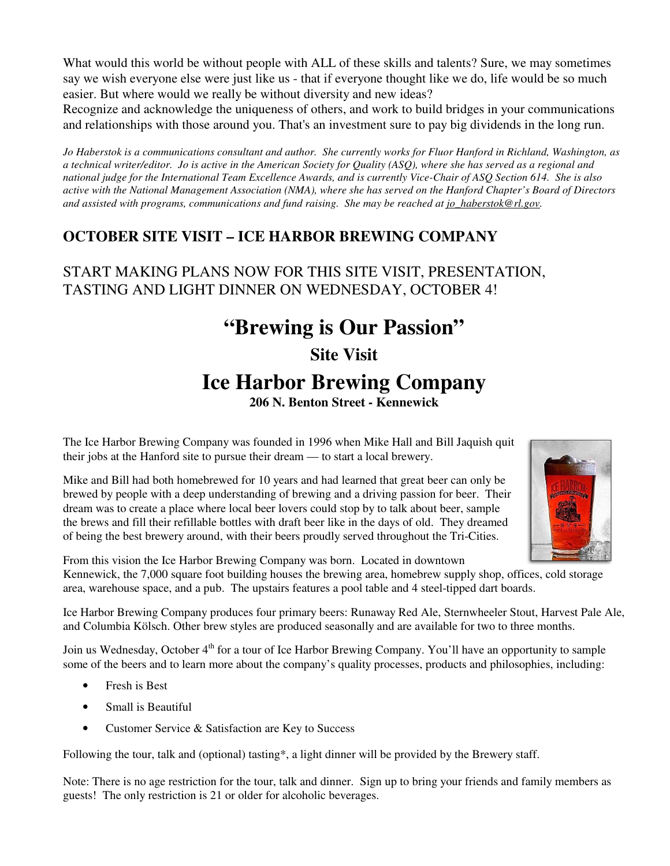What would this world be without people with ALL of these skills and talents? Sure, we may sometimes say we wish everyone else were just like us - that if everyone thought like we do, life would be so much easier. But where would we really be without diversity and new ideas?

Recognize and acknowledge the uniqueness of others, and work to build bridges in your communications and relationships with those around you. That's an investment sure to pay big dividends in the long run.

*Jo Haberstok is a communications consultant and author. She currently works for Fluor Hanford in Richland, Washington, as a technical writer/editor. Jo is active in the American Society for Quality (ASQ), where she has served as a regional and national judge for the International Team Excellence Awards, and is currently Vice-Chair of ASQ Section 614. She is also active with the National Management Association (NMA), where she has served on the Hanford Chapter's Board of Directors and assisted with programs, communications and fund raising. She may be reached at jo\_haberstok@rl.gov.* 

#### **OCTOBER SITE VISIT – ICE HARBOR BREWING COMPANY**

#### START MAKING PLANS NOW FOR THIS SITE VISIT, PRESENTATION, TASTING AND LIGHT DINNER ON WEDNESDAY, OCTOBER 4!

## **"Brewing is Our Passion" Site Visit Ice Harbor Brewing Company 206 N. Benton Street - Kennewick**

The Ice Harbor Brewing Company was founded in 1996 when Mike Hall and Bill Jaquish quit their jobs at the Hanford site to pursue their dream — to start a local brewery.





From this vision the Ice Harbor Brewing Company was born. Located in downtown Kennewick, the 7,000 square foot building houses the brewing area, homebrew supply shop, offices, cold storage area, warehouse space, and a pub. The upstairs features a pool table and 4 steel-tipped dart boards.

Ice Harbor Brewing Company produces four primary beers: Runaway Red Ale, Sternwheeler Stout, Harvest Pale Ale, and Columbia Kölsch. Other brew styles are produced seasonally and are available for two to three months.

Join us Wednesday, October 4<sup>th</sup> for a tour of Ice Harbor Brewing Company. You'll have an opportunity to sample some of the beers and to learn more about the company's quality processes, products and philosophies, including:

- Fresh is Best
- Small is Beautiful
- Customer Service & Satisfaction are Key to Success

Following the tour, talk and (optional) tasting\*, a light dinner will be provided by the Brewery staff.

Note: There is no age restriction for the tour, talk and dinner. Sign up to bring your friends and family members as guests! The only restriction is 21 or older for alcoholic beverages.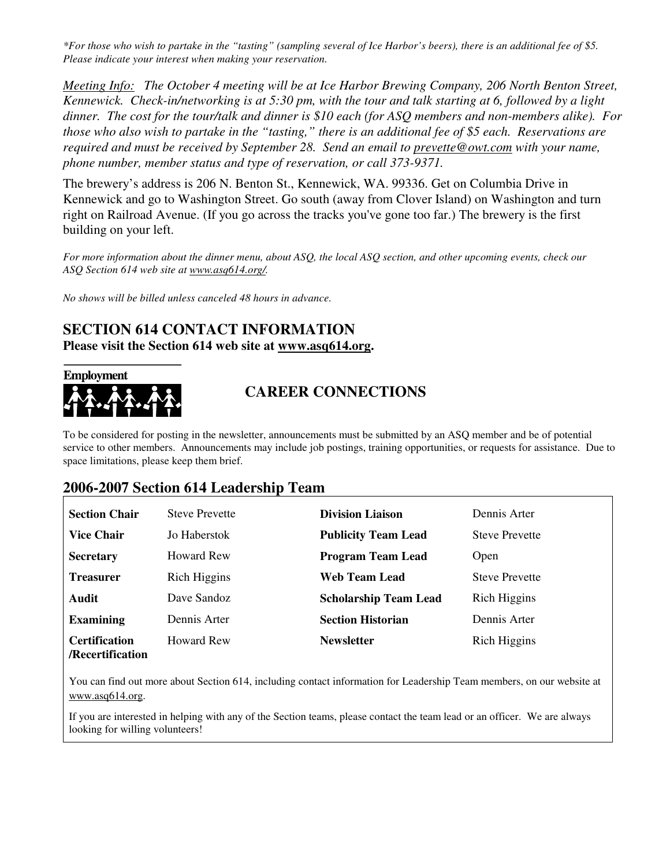*\*For those who wish to partake in the "tasting" (sampling several of Ice Harbor's beers), there is an additional fee of \$5. Please indicate your interest when making your reservation.* 

*Meeting Info: The October 4 meeting will be at Ice Harbor Brewing Company, 206 North Benton Street, Kennewick. Check-in/networking is at 5:30 pm, with the tour and talk starting at 6, followed by a light dinner. The cost for the tour/talk and dinner is \$10 each (for ASQ members and non-members alike). For those who also wish to partake in the "tasting," there is an additional fee of \$5 each. Reservations are required and must be received by September 28. Send an email to prevette@owt.com with your name, phone number, member status and type of reservation, or call 373-9371.* 

The brewery's address is 206 N. Benton St., Kennewick, WA. 99336. Get on Columbia Drive in Kennewick and go to Washington Street. Go south (away from Clover Island) on Washington and turn right on Railroad Avenue. (If you go across the tracks you've gone too far.) The brewery is the first building on your left.

*For more information about the dinner menu, about ASQ, the local ASQ section, and other upcoming events, check our ASQ Section 614 web site at www.asq614.org/.*

*No shows will be billed unless canceled 48 hours in advance.* 

#### **SECTION 614 CONTACT INFORMATION Please visit the Section 614 web site at www.asq614.org.**



#### **CAREER CONNECTIONS**

To be considered for posting in the newsletter, announcements must be submitted by an ASQ member and be of potential service to other members. Announcements may include job postings, training opportunities, or requests for assistance. Due to space limitations, please keep them brief.

#### **2006-2007 Section 614 Leadership Team**

| <b>Section Chair</b>                     | <b>Steve Prevette</b> | <b>Division Liaison</b>      | Dennis Arter          |
|------------------------------------------|-----------------------|------------------------------|-----------------------|
| <b>Vice Chair</b>                        | Jo Haberstok          | <b>Publicity Team Lead</b>   | <b>Steve Prevette</b> |
| <b>Secretary</b>                         | Howard Rew            | <b>Program Team Lead</b>     | Open                  |
| <b>Treasurer</b>                         | Rich Higgins          | Web Team Lead                | <b>Steve Prevette</b> |
| Audit                                    | Dave Sandoz           | <b>Scholarship Team Lead</b> | Rich Higgins          |
| <b>Examining</b>                         | Dennis Arter          | <b>Section Historian</b>     | Dennis Arter          |
| <b>Certification</b><br>/Recertification | Howard Rew            | <b>Newsletter</b>            | Rich Higgins          |

You can find out more about Section 614, including contact information for Leadership Team members, on our website at www.asq614.org.

If you are interested in helping with any of the Section teams, please contact the team lead or an officer. We are always looking for willing volunteers!